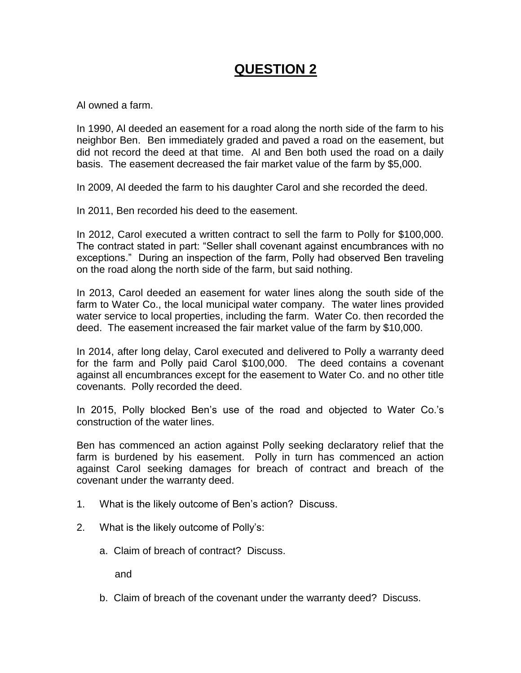# **QUESTION 2**

Al owned a farm.

In 1990, Al deeded an easement for a road along the north side of the farm to his neighbor Ben. Ben immediately graded and paved a road on the easement, but did not record the deed at that time. Al and Ben both used the road on a daily basis. The easement decreased the fair market value of the farm by \$5,000.

In 2009, Al deeded the farm to his daughter Carol and she recorded the deed.

In 2011, Ben recorded his deed to the easement.

In 2012, Carol executed a written contract to sell the farm to Polly for \$100,000. The contract stated in part: "Seller shall covenant against encumbrances with no exceptions." During an inspection of the farm, Polly had observed Ben traveling on the road along the north side of the farm, but said nothing.

In 2013, Carol deeded an easement for water lines along the south side of the farm to Water Co., the local municipal water company. The water lines provided water service to local properties, including the farm. Water Co. then recorded the deed. The easement increased the fair market value of the farm by \$10,000.

In 2014, after long delay, Carol executed and delivered to Polly a warranty deed for the farm and Polly paid Carol \$100,000. The deed contains a covenant against all encumbrances except for the easement to Water Co. and no other title covenants. Polly recorded the deed.

In 2015, Polly blocked Ben's use of the road and objected to Water Co.'s construction of the water lines.

Ben has commenced an action against Polly seeking declaratory relief that the farm is burdened by his easement. Polly in turn has commenced an action against Carol seeking damages for breach of contract and breach of the covenant under the warranty deed.

- 1. What is the likely outcome of Ben's action? Discuss.
- 2. What is the likely outcome of Polly's:
	- a. Claim of breach of contract? Discuss.

and

b. Claim of breach of the covenant under the warranty deed? Discuss.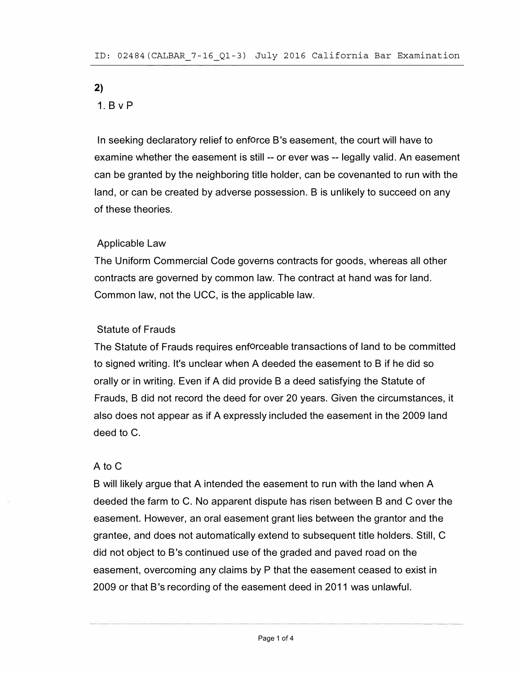# 2)

# 1. B v P

In seeking declaratory relief to enforce B's easement, the court will have to examine whether the easement is still -- or ever was -- legally valid. An easement can be granted by the neighboring title holder, can be covenanted to run with the land, or can be created by adverse possession. B is unlikely to succeed on any of these theories.

# Applicable Law

The Uniform Commercial Code governs contracts for goods, whereas all other contracts are governed by common law. The contract at hand was for land. Common law, not the UCC, is the applicable law.

# Statute of Frauds

The Statute of Frauds requires enforceable transactions of land to be committed to signed writing. It's unclear when A deeded the easement to B if he did so orally or in writing. Even if A did provide B a deed satisfying the Statute of Frauds, B did not record the deed for over 20 years. Given the circumstances, it also does not appear as if A expressly included the easement in the 2009 land deed to C.

### A to C

B will likely argue that A intended the easement to run with the land when A deeded the farm to C. No apparent dispute has risen between B and C over the easement. However, an oral easement grant lies between the grantor and the grantee, and does not automatically extend to subsequent title holders. Still, C did not object to B's continued use of the graded and paved road on the easement, overcoming any claims by P that the easement ceased to exist in 2009 or that B's recording of the easement deed in 2011 was unlawful.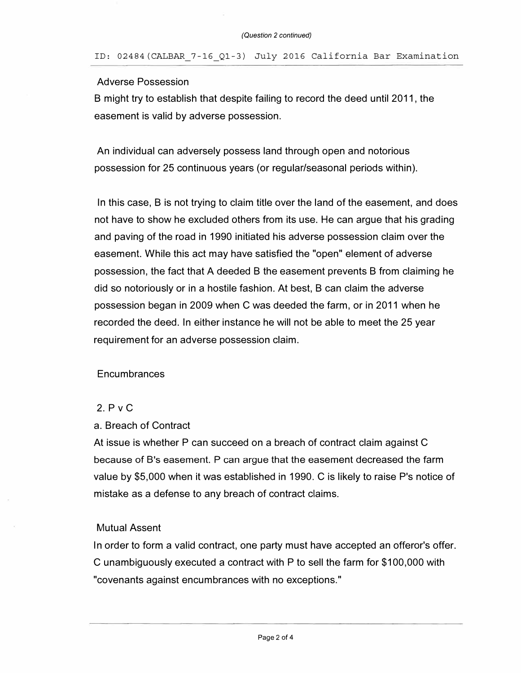#### Adverse Possession

B might try to establish that despite failing to record the deed until 2011, the easement is valid by adverse possession.

An individual can adversely possess land through open and notorious possession for 25 continuous years (or regular/seasonal periods within).

In this case, B is not trying to claim title over the land of the easement, and does not have to show he excluded others from its use. He can argue that his grading and paving of the road in 1990 initiated his adverse possession claim over the easement. While this act may have satisfied the "open" element of adverse possession, the fact that A deeded B the easement prevents B from claiming he did so notoriously or in a hostile fashion. At best, B can claim the adverse possession began in 2009 when C was deeded the farm, or in 2011 when he recorded the deed. In either instance he will not be able to meet the 25 year requirement for an adverse possession claim.

### **Encumbrances**

### 2. P v C

### a. Breach of Contract

At issue is whether P can succeed on a breach of contract claim against C because of B's easement. P can argue that the easement decreased the farm value by \$5,000 when it was established in 1990. C is likely to raise P's notice of mistake as a defense to any breach of contract claims.

### Mutual Assent

In order to form a valid contract, one party must have accepted an offeror's offer. C unambiguously executed a contract with P to sell the farm for \$100,000 with "covenants against encumbrances with no exceptions."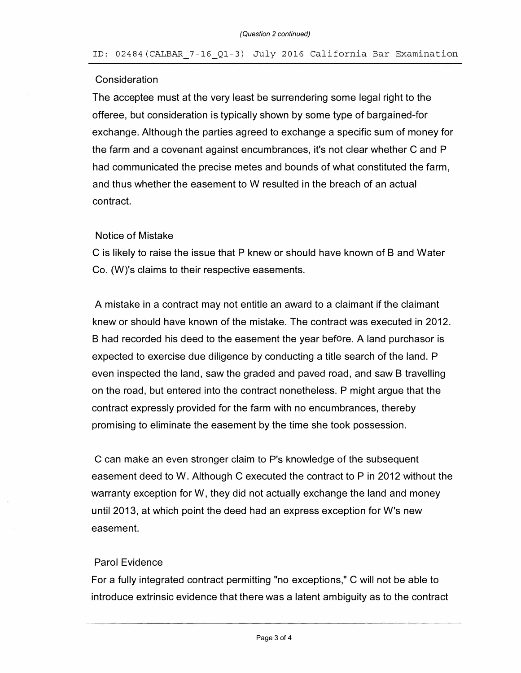#### ID: 02484(CALBAR\_7-16\_Ql-3) July 2016 California Bar Examination

#### **Consideration**

The acceptee must at the very least be surrendering some legal right to the offeree, but consideration is typically shown by some type of bargained-for exchange. Although the parties agreed to exchange a specific sum of money for the farm and a covenant against encumbrances, it's not clear whether C and P had communicated the precise metes and bounds of what constituted the farm, and thus whether the easement to W resulted in the breach of an actual contract.

#### Notice of Mistake

C is likely to raise the issue that P knew or should have known of B and Water Co. (W)'s claims to their respective easements.

A mistake in a contract may not entitle an award to a claimant if the claimant knew or should have known of the mistake. The contract was executed in 2012. B had recorded his deed to the easement the year before. A land purchasor is expected to exercise due diligence by conducting a title search of the land. P even inspected the land, saw the graded and paved road, and saw B travelling on the road, but entered into the contract nonetheless. P might argue that the contract expressly provided for the farm with no encumbrances, thereby promising to eliminate the easement by the time she took possession.

C can make an even stronger claim to P's knowledge of the subsequent easement deed to W. Although C executed the contract to P in 2012 without the warranty exception for W, they did not actually exchange the land and money until 2013, at which point the deed had an express exception for W's new easement.

#### Parol Evidence

For a fully integrated contract permitting "no exceptions," C will not be able to introduce extrinsic evidence that there was a latent ambiguity as to the contract